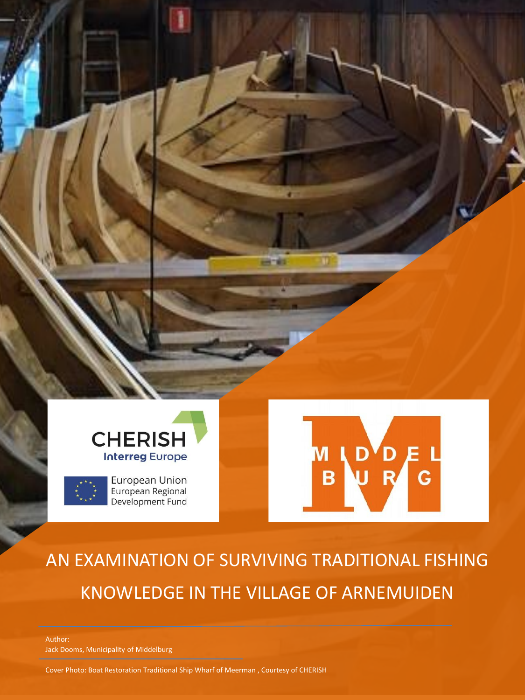

European Union<br>European Regional Development Fund



# AN EXAMINATION OF SURVIVING TRADITIONAL FISHING KNOWLEDGE IN THE VILLAGE OF ARNEMUIDEN

a n

Author: Jack Dooms, Municipality of Middelburg

Cover Photo: Boat Restoration Traditional Ship Wharf of Meerman , Courtesy of CHERISH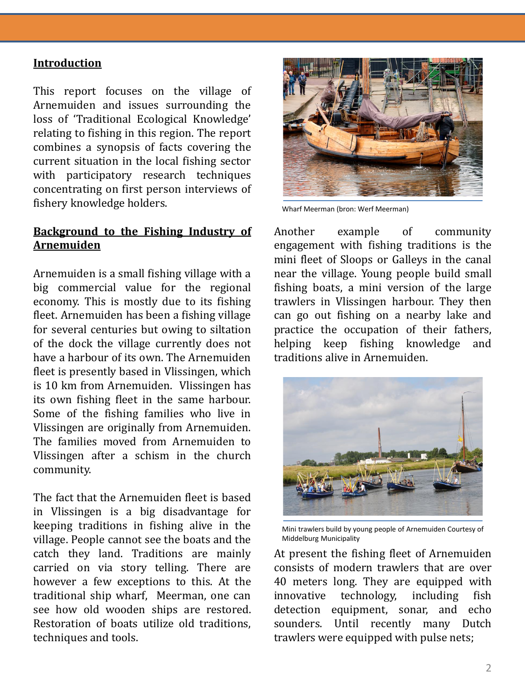#### **Introduction**

This report focuses on the village of Arnemuiden and issues surrounding the loss of 'Traditional Ecological Knowledge' relating to fishing in this region. The report combines a synopsis of facts covering the current situation in the local fishing sector with participatory research techniques concentrating on first person interviews of fishery knowledge holders.

#### **Background to the Fishing Industry of Arnemuiden**

Arnemuiden is a small fishing village with a big commercial value for the regional economy. This is mostly due to its fishing fleet. Arnemuiden has been a fishing village for several centuries but owing to siltation of the dock the village currently does not have a harbour of its own. The Arnemuiden fleet is presently based in Vlissingen, which is 10 km from Arnemuiden. Vlissingen has its own fishing fleet in the same harbour. Some of the fishing families who live in Vlissingen are originally from Arnemuiden. The families moved from Arnemuiden to Vlissingen after a schism in the church community.

The fact that the Arnemuiden fleet is based in Vlissingen is a big disadvantage for keeping traditions in fishing alive in the village. People cannot see the boats and the catch they land. Traditions are mainly carried on via story telling. There are however a few exceptions to this. At the traditional ship wharf, Meerman, one can see how old wooden ships are restored. Restoration of boats utilize old traditions, techniques and tools.



Wharf Meerman (bron: Werf Meerman)

Another example of community engagement with fishing traditions is the mini fleet of Sloops or Galleys in the canal near the village. Young people build small fishing boats, a mini version of the large trawlers in Vlissingen harbour. They then can go out fishing on a nearby lake and practice the occupation of their fathers, helping keep fishing knowledge and traditions alive in Arnemuiden.



Mini trawlers build by young people of Arnemuiden Courtesy of Middelburg Municipality

At present the fishing fleet of Arnemuiden consists of modern trawlers that are over 40 meters long. They are equipped with innovative technology, including fish detection equipment, sonar, and echo sounders. Until recently many Dutch trawlers were equipped with pulse nets;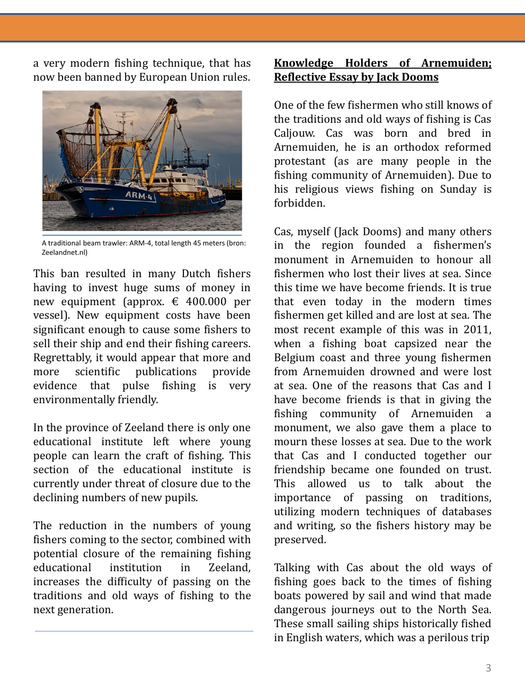a very modern fishing technique, that has now been banned by European Union rules.



A traditional beam trawler: ARM-4, total length 45 meters (bron: Zeelandnet.nl)

This ban resulted in many Dutch fishers having to invest huge sums of money in new equipment (approx. € 400.000 per vessel). New equipment costs have been significant enough to cause some fishers to sell their ship and end their fishing careers. Regrettably, it would appear that more and more scientific publications provide evidence that pulse fishing is very environmentally friendly.

In the province of Zeeland there is only one educational institute left where young people can learn the craft of fishing. This section of the educational institute is currently under threat of closure due to the declining numbers of new pupils.

The reduction in the numbers of young fishers coming to the sector, combined with potential closure of the remaining fishing educational institution in Zeeland, increases the difficulty of passing on the traditions and old ways of fishing to the next generation.

## **Knowledge Holders of Arnemuiden; Reflective Essay by Jack Dooms**

One of the few fishermen who still knows of the traditions and old ways of fishing is Cas Caljouw. Cas was born and bred in Arnemuiden, he is an orthodox reformed protestant (as are many people in the fishing community of Arnemuiden). Due to his religious views fishing on Sunday is forbidden.

Cas, myself (Jack Dooms) and many others in the region founded a fishermen's monument in Arnemuiden to honour all fishermen who lost their lives at sea. Since this time we have become friends. It is true that even today in the modern times fishermen get killed and are lost at sea. The most recent example of this was in 2011, when a fishing boat capsized near the Belgium coast and three young fishermen from Arnemuiden drowned and were lost at sea. One of the reasons that Cas and I have become friends is that in giving the fishing community of Arnemuiden monument, we also gave them a place to mourn these losses at sea. Due to the work that Cas and I conducted together our friendship became one founded on trust. This allowed us to talk about the importance of passing on traditions, utilizing modern techniques of databases and writing, so the fishers history may be preserved.

Talking with Cas about the old ways of fishing goes back to the times of fishing boats powered by sail and wind that made dangerous journeys out to the North Sea. These small sailing ships historically fished in English waters, which was a perilous trip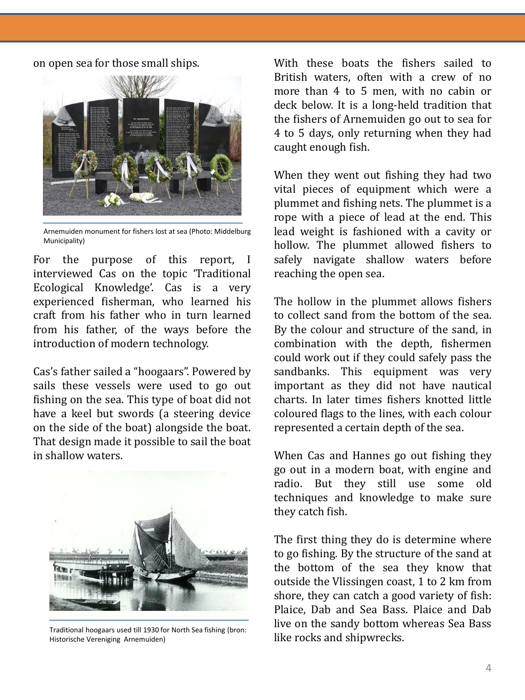on open sea for those small ships.



Arnemuiden monument for fishers lost at sea (Photo: Middelburg Municipality)

For the purpose of this report, I interviewed Cas on the topic 'Traditional Ecological Knowledge'. Cas is a very experienced fisherman, who learned his craft from his father who in turn learned from his father, of the ways before the introduction of modern technology.

Cas's father sailed a "hoogaars". Powered by sails these vessels were used to go out fishing on the sea. This type of boat did not have a keel but swords (a steering device on the side of the boat) alongside the boat. That design made it possible to sail the boat in shallow waters.



Traditional hoogaars used till 1930 for North Sea fishing (bron: Historische Vereniging Arnemuiden)

With these boats the fishers sailed to British waters, often with a crew of no more than 4 to 5 men, with no cabin or deck below. It is a long-held tradition that the fishers of Arnemuiden go out to sea for 4 to 5 days, only returning when they had caught enough fish.

When they went out fishing they had two vital pieces of equipment which were a plummet and fishing nets. The plummet is a rope with a piece of lead at the end. This lead weight is fashioned with a cavity or hollow. The plummet allowed fishers to safely navigate shallow waters before reaching the open sea.

The hollow in the plummet allows fishers to collect sand from the bottom of the sea. By the colour and structure of the sand, in combination with the depth, fishermen could work out if they could safely pass the sandbanks. This equipment was very important as they did not have nautical charts. In later times fishers knotted little coloured flags to the lines, with each colour represented a certain depth of the sea.

When Cas and Hannes go out fishing they go out in a modern boat, with engine and radio. But they still use some old techniques and knowledge to make sure they catch fish.

The first thing they do is determine where to go fishing. By the structure of the sand at the bottom of the sea they know that outside the Vlissingen coast, 1 to 2 km from shore, they can catch a good variety of fish: Plaice, Dab and Sea Bass. Plaice and Dab live on the sandy bottom whereas Sea Bass like rocks and shipwrecks.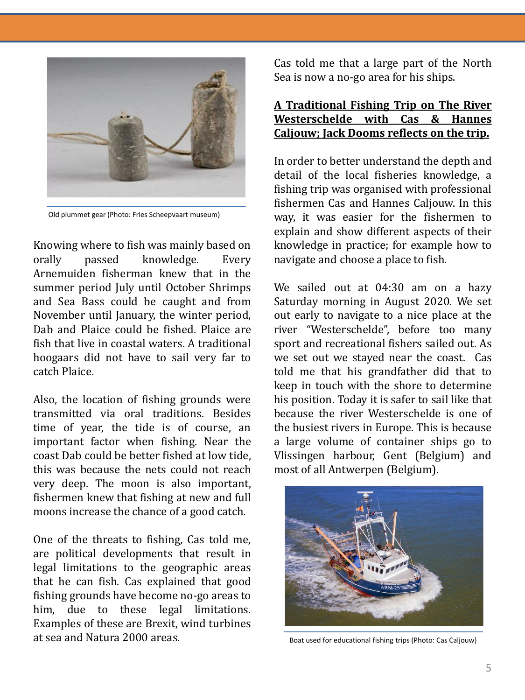

Old plummet gear (Photo: Fries Scheepvaart museum)

Knowing where to fish was mainly based on orally passed knowledge. Every Arnemuiden fisherman knew that in the summer period July until October Shrimps and Sea Bass could be caught and from November until January, the winter period, Dab and Plaice could be fished. Plaice are fish that live in coastal waters. A traditional hoogaars did not have to sail very far to catch Plaice.

Also, the location of fishing grounds were transmitted via oral traditions. Besides time of year, the tide is of course, an important factor when fishing. Near the coast Dab could be better fished at low tide, this was because the nets could not reach very deep. The moon is also important, fishermen knew that fishing at new and full moons increase the chance of a good catch.

One of the threats to fishing, Cas told me, are political developments that result in legal limitations to the geographic areas that he can fish. Cas explained that good fishing grounds have become no-go areas to him, due to these legal limitations. Examples of these are Brexit, wind turbines at sea and Natura 2000 areas.

Cas told me that a large part of the North Sea is now a no-go area for his ships.

#### **A Traditional Fishing Trip on The River Westerschelde with Cas & Hannes Caljouw; Jack Dooms reflects on the trip.**

In order to better understand the depth and detail of the local fisheries knowledge, a fishing trip was organised with professional fishermen Cas and Hannes Caljouw. In this way, it was easier for the fishermen to explain and show different aspects of their knowledge in practice; for example how to navigate and choose a place to fish.

We sailed out at 04:30 am on a hazy Saturday morning in August 2020. We set out early to navigate to a nice place at the river "Westerschelde", before too many sport and recreational fishers sailed out. As we set out we stayed near the coast. Cas told me that his grandfather did that to keep in touch with the shore to determine his position. Today it is safer to sail like that because the river Westerschelde is one of the busiest rivers in Europe. This is because a large volume of container ships go to Vlissingen harbour, Gent (Belgium) and most of all Antwerpen (Belgium).



Boat used for educational fishing trips (Photo: Cas Caljouw)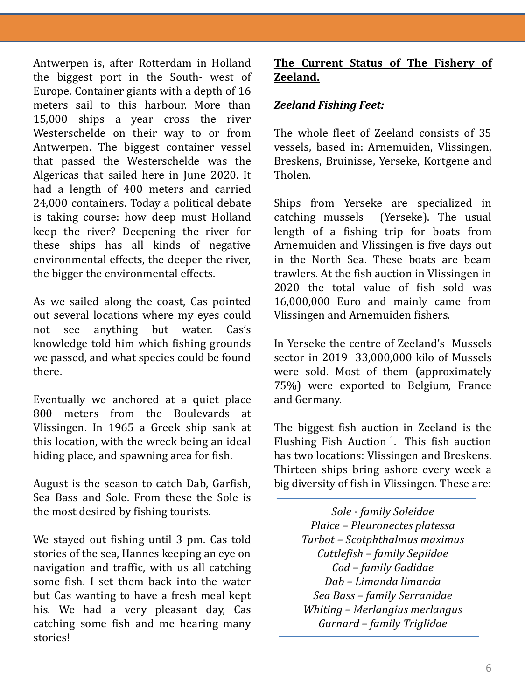Antwerpen is, after Rotterdam in Holland the biggest port in the South- west of Europe. Container giants with a depth of 16 meters sail to this harbour. More than 15,000 ships a year cross the river Westerschelde on their way to or from Antwerpen. The biggest container vessel that passed the Westerschelde was the Algericas that sailed here in June 2020. It had a length of 400 meters and carried 24,000 containers. Today a political debate is taking course: how deep must Holland keep the river? Deepening the river for these ships has all kinds of negative environmental effects, the deeper the river, the bigger the environmental effects.

As we sailed along the coast, Cas pointed out several locations where my eyes could not see anything but water. Cas's knowledge told him which fishing grounds we passed, and what species could be found there.

Eventually we anchored at a quiet place 800 meters from the Boulevards at Vlissingen. In 1965 a Greek ship sank at this location, with the wreck being an ideal hiding place, and spawning area for fish.

August is the season to catch Dab, Garfish, Sea Bass and Sole. From these the Sole is the most desired by fishing tourists.

We stayed out fishing until 3 pm. Cas told stories of the sea, Hannes keeping an eye on navigation and traffic, with us all catching some fish. I set them back into the water but Cas wanting to have a fresh meal kept his. We had a very pleasant day, Cas catching some fish and me hearing many stories!

## **The Current Status of The Fishery of Zeeland.**

## *Zeeland Fishing Feet:*

The whole fleet of Zeeland consists of 35 vessels, based in: Arnemuiden, Vlissingen, Breskens, Bruinisse, Yerseke, Kortgene and Tholen.

Ships from Yerseke are specialized in catching mussels (Yerseke). The usual length of a fishing trip for boats from Arnemuiden and Vlissingen is five days out in the North Sea. These boats are beam trawlers. At the fish auction in Vlissingen in 2020 the total value of fish sold was 16,000,000 Euro and mainly came from Vlissingen and Arnemuiden fishers.

In Yerseke the centre of Zeeland's Mussels sector in 2019 33,000,000 kilo of Mussels were sold. Most of them (approximately 75%) were exported to Belgium, France and Germany.

The biggest fish auction in Zeeland is the Flushing Fish Auction<sup>1</sup>. This fish auction has two locations: Vlissingen and Breskens. Thirteen ships bring ashore every week a big diversity of fish in Vlissingen. These are:

> *Sole - family Soleidae Plaice – Pleuronectes platessa Turbot – Scotphthalmus maximus Cuttlefish – family Sepiidae Cod – family Gadidae Dab – Limanda limanda Sea Bass – family Serranidae Whiting – Merlangius merlangus Gurnard – family Triglidae*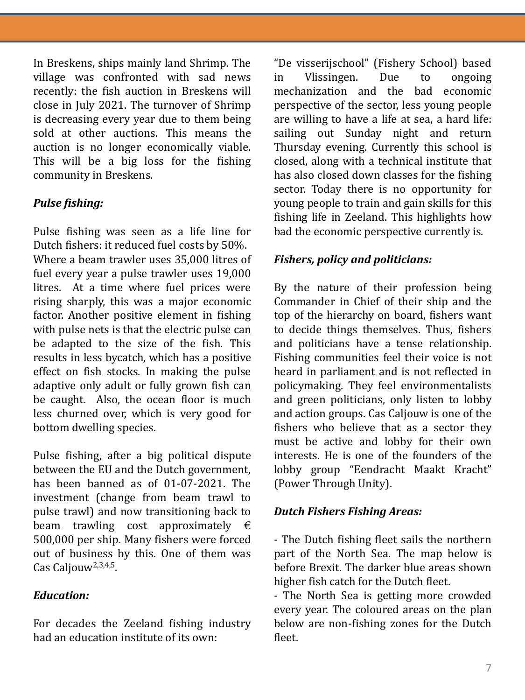In Breskens, ships mainly land Shrimp. The village was confronted with sad news recently: the fish auction in Breskens will close in July 2021. The turnover of Shrimp is decreasing every year due to them being sold at other auctions. This means the auction is no longer economically viable. This will be a big loss for the fishing community in Breskens.

## *Pulse fishing:*

Pulse fishing was seen as a life line for Dutch fishers: it reduced fuel costs by 50%. Where a beam trawler uses 35,000 litres of fuel every year a pulse trawler uses 19,000 litres. At a time where fuel prices were rising sharply, this was a major economic factor. Another positive element in fishing with pulse nets is that the electric pulse can be adapted to the size of the fish. This results in less bycatch, which has a positive effect on fish stocks. In making the pulse adaptive only adult or fully grown fish can be caught. Also, the ocean floor is much less churned over, which is very good for bottom dwelling species.

Pulse fishing, after a big political dispute between the EU and the Dutch government, has been banned as of 01-07-2021. The investment (change from beam trawl to pulse trawl) and now transitioning back to beam trawling cost approximately  $\epsilon$ 500,000 per ship. Many fishers were forced out of business by this. One of them was Cas Caljouw<sup>2,3,4,5</sup>.

## *Education:*

For decades the Zeeland fishing industry had an education institute of its own:

"De visserijschool" (Fishery School) based in Vlissingen. Due to ongoing mechanization and the bad economic perspective of the sector, less young people are willing to have a life at sea, a hard life: sailing out Sunday night and return Thursday evening. Currently this school is closed, along with a technical institute that has also closed down classes for the fishing sector. Today there is no opportunity for young people to train and gain skills for this fishing life in Zeeland. This highlights how bad the economic perspective currently is.

## *Fishers, policy and politicians:*

By the nature of their profession being Commander in Chief of their ship and the top of the hierarchy on board, fishers want to decide things themselves. Thus, fishers and politicians have a tense relationship. Fishing communities feel their voice is not heard in parliament and is not reflected in policymaking. They feel environmentalists and green politicians, only listen to lobby and action groups. Cas Caljouw is one of the fishers who believe that as a sector they must be active and lobby for their own interests. He is one of the founders of the lobby group "Eendracht Maakt Kracht" (Power Through Unity).

## *Dutch Fishers Fishing Areas:*

- The Dutch fishing fleet sails the northern part of the North Sea. The map below is before Brexit. The darker blue areas shown higher fish catch for the Dutch fleet.

- The North Sea is getting more crowded every year. The coloured areas on the plan below are non-fishing zones for the Dutch fleet.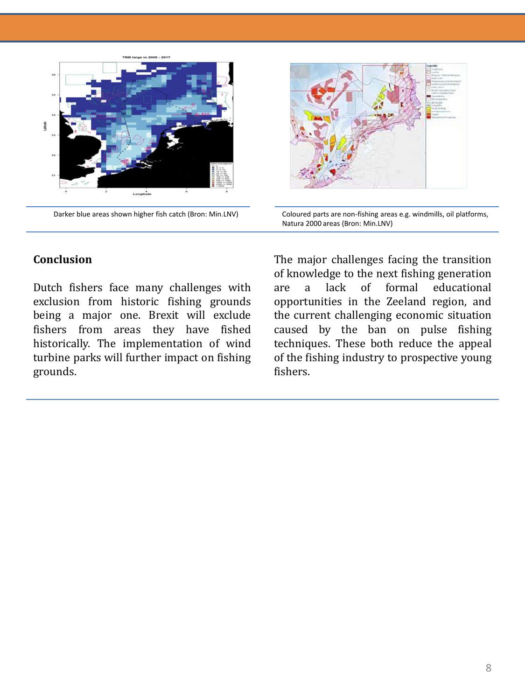

Darker blue areas shown higher fish catch (Bron: Min.LNV)



Coloured parts are non-fishing areas e.g. windmills, oil platforms, Natura 2000 areas (Bron: Min.LNV)

#### **Conclusion**

Dutch fishers face many challenges with exclusion from historic fishing grounds being a major one. Brexit will exclude fishers from areas they have fished historically. The implementation of wind turbine parks will further impact on fishing grounds.

The major challenges facing the transition of knowledge to the next fishing generation are a lack of formal educational opportunities in the Zeeland region, and the current challenging economic situation caused by the ban on pulse fishing techniques. These both reduce the appeal of the fishing industry to prospective young fishers.